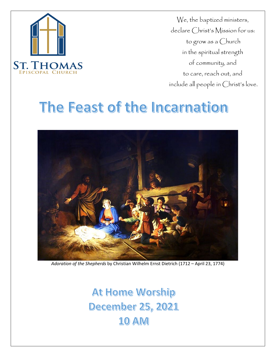

We, the baptized ministers, declare Christ's Mission for us: to grow as a Church in the spiritual strength of community, and to care, reach out, and include all people in Christ's love.

# The Feast of the Incarnation



*Adoration of the Shepherds* by Christian Wilhelm Ernst Dietrich (1712 – April 23, 1774)

At Home Worship **December 25, 2021 10 AM**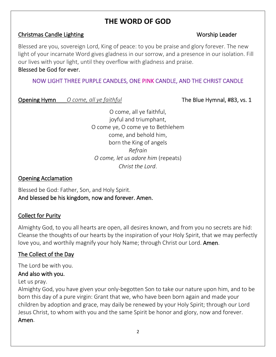# **THE WORD OF GOD**

#### Christmas Candle Lighting Worship Leader

Blessed are you, sovereign Lord, King of peace: to you be praise and glory forever. The new light of your incarnate Word gives gladness in our sorrow, and a presence in our isolation. Fill our lives with your light, until they overflow with gladness and praise.

#### Blessed be God for ever.

## NOW LIGHT THREE PURPLE CANDLES, ONE PINK CANDLE, AND THE CHRIST CANDLE

### Opening Hymn *O come, all ye faithful* The Blue Hymnal, #83, vs. 1

O come, all ye faithful, joyful and triumphant, O come ye, O come ye to Bethlehem come, and behold him, born the King of angels *Refrain O come, let us adore him* (repeats) *Christ the Lord*.

#### Opening Acclamation

Blessed be God: Father, Son, and Holy Spirit. And blessed be his kingdom, now and forever. Amen.

#### Collect for Purity

Almighty God, to you all hearts are open, all desires known, and from you no secrets are hid: Cleanse the thoughts of our hearts by the inspiration of your Holy Spirit, that we may perfectly love you, and worthily magnify your holy Name; through Christ our Lord. Amen.

#### The Collect of the Day

The Lord be with you.

#### And also with you.

Let us pray.

Almighty God, you have given your only-begotten Son to take our nature upon him, and to be born this day of a pure virgin: Grant that we, who have been born again and made your children by adoption and grace, may daily be renewed by your Holy Spirit; through our Lord Jesus Christ, to whom with you and the same Spirit be honor and glory, now and forever. Amen.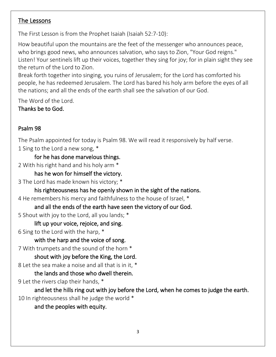# The Lessons

The First Lesson is from the Prophet Isaiah (Isaiah 52:7-10):

How beautiful upon the mountains are the feet of the messenger who announces peace, who brings good news, who announces salvation, who says to Zion, "Your God reigns." Listen! Your sentinels lift up their voices, together they sing for joy; for in plain sight they see the return of the Lord to Zion.

Break forth together into singing, you ruins of Jerusalem; for the Lord has comforted his people, he has redeemed Jerusalem. The Lord has bared his holy arm before the eyes of all the nations; and all the ends of the earth shall see the salvation of our God.

The Word of the Lord. Thanks be to God.

# Psalm 98

The Psalm appointed for today is Psalm 98. We will read it responsively by half verse. 1 Sing to the Lord a new song, \*

# for he has done marvelous things.

- 2 With his right hand and his holy arm \*
	- has he won for himself the victory.
- 3 The Lord has made known his victory; \*

# his righteousness has he openly shown in the sight of the nations.

4 He remembers his mercy and faithfulness to the house of Israel, \*

# and all the ends of the earth have seen the victory of our God.

5 Shout with joy to the Lord, all you lands; \*

# lift up your voice, rejoice, and sing.

6 Sing to the Lord with the harp, \*

# with the harp and the voice of song.

7 With trumpets and the sound of the horn \*

# shout with joy before the King, the Lord.

8 Let the sea make a noise and all that is in it, \*

# the lands and those who dwell therein.

9 Let the rivers clap their hands, \*

and let the hills ring out with joy before the Lord, when he comes to judge the earth. 10 In righteousness shall he judge the world \*

and the peoples with equity.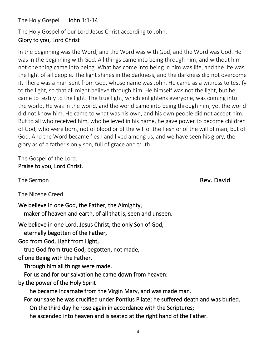## The Holy Gospel John 1:1-14

The Holy Gospel of our Lord Jesus Christ according to John.

### Glory to you, Lord Christ

In the beginning was the Word, and the Word was with God, and the Word was God. He was in the beginning with God. All things came into being through him, and without him not one thing came into being. What has come into being in him was life, and the life was the light of all people. The light shines in the darkness, and the darkness did not overcome it. There was a man sent from God, whose name was John. He came as a witness to testify to the light, so that all might believe through him. He himself was not the light, but he came to testify to the light. The true light, which enlightens everyone, was coming into the world. He was in the world, and the world came into being through him; yet the world did not know him. He came to what was his own, and his own people did not accept him. But to all who received him, who believed in his name, he gave power to become children of God, who were born, not of blood or of the will of the flesh or of the will of man, but of God. And the Word became flesh and lived among us, and we have seen his glory, the glory as of a father's only son, full of grace and truth.

The Gospel of the Lord. Praise to you, Lord Christ.

The Sermon **Rev.** David

#### The Nicene Creed

We believe in one God, the Father, the Almighty, maker of heaven and earth, of all that is, seen and unseen.

We believe in one Lord, Jesus Christ, the only Son of God,

eternally begotten of the Father,

God from God, Light from Light,

true God from true God, begotten, not made,

#### of one Being with the Father.

Through him all things were made.

For us and for our salvation he came down from heaven:

by the power of the Holy Spirit

he became incarnate from the Virgin Mary, and was made man.

For our sake he was crucified under Pontius Pilate; he suffered death and was buried.

On the third day he rose again in accordance with the Scriptures;

he ascended into heaven and is seated at the right hand of the Father.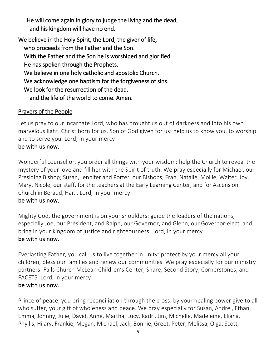He will come again in glory to judge the living and the dead, and his kingdom will have no end.

We believe in the Holy Spirit, the Lord, the giver of life, who proceeds from the Father and the Son. With the Father and the Son he is worshiped and glorified. He has spoken through the Prophets. We believe in one holy catholic and apostolic Church. We acknowledge one baptism for the forgiveness of sins. We look for the resurrection of the dead, and the life of the world to come. Amen.

# Prayers of the People

Let us pray to our incarnate Lord, who has brought us out of darkness and into his own marvelous light. Christ born for us, Son of God given for us: help us to know you, to worship and to serve you. Lord, in your mercy

#### be with us now.

Wonderful counsellor, you order all things with your wisdom: help the Church to reveal the mystery of your love and fill her with the Spirit of truth. We pray especially for Michael, our Presiding Bishop; Susan, Jennifer and Porter, our Bishops; Fran, Natalie, Mollie, Walter, Joy, Mary, Nicole, our staff, for the teachers at the Early Learning Center, and for Ascension Church in Beraud, Haiti. Lord, in your mercy be with us now.

Mighty God, the government is on your shoulders: guide the leaders of the nations, especially Joe, our President, and Ralph, our Governor, and Glenn, our Governor-elect, and bring in your kingdom of justice and righteousness. Lord, in your mercy be with us now.

Everlasting Father, you call us to live together in unity: protect by your mercy all your children, bless our families and renew our communities. We pray especially for our ministry partners: Falls Church McLean Children's Center, Share, Second Story, Cornerstones, and FACETS. Lord, in your mercy be with us now.

Prince of peace, you bring reconciliation through the cross: by your healing power give to all who suffer, your gift of wholeness and peace. We pray especially for Susan, Andrei, Ethan, Emma, Johnny, Julie, David, Anne, Martha, Lucy, Kadri, Jim, Michelle, Madeleine, Eliana, Phyllis, Hilary, Frankie, Megan, Michael, Jack, Bonnie, Greet, Peter, Melissa, Olga, Scott,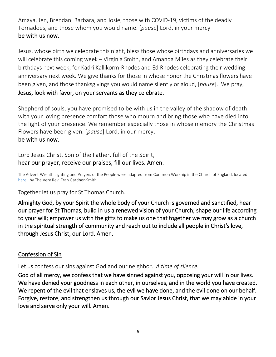Amaya, Jen, Brendan, Barbara, and Josie, those with COVID-19, victims of the deadly Tornadoes, and those whom you would name. [*pause*] Lord, in your mercy be with us now.

Jesus, whose birth we celebrate this night, bless those whose birthdays and anniversaries we will celebrate this coming week – Virginia Smith, and Amanda Miles as they celebrate their birthdays next week; for Kadri Kallikorm-Rhodes and Ed Rhodes celebrating their wedding anniversary next week. We give thanks for those in whose honor the Christmas flowers have been given, and those thanksgivings you would name silently or aloud, [*pause*]. We pray, Jesus, look with favor, on your servants as they celebrate.

Shepherd of souls, you have promised to be with us in the valley of the shadow of death: with your loving presence comfort those who mourn and bring those who have died into the light of your presence. We remember especially those in whose memory the Christmas Flowers have been given. [*pause*] Lord, in our mercy, be with us now.

Lord Jesus Christ, Son of the Father, full of the Spirit, hear our prayer, receive our praises, fill our lives. Amen.

The Advent Wreath Lighting and Prayers of the People were adapted from Common Worship in the Church of England, located [here,](https://www.churchofengland.org/prayer-and-worship/worship-texts-and-resources/common-worship/churchs-year/times-and-seasons/advent#mmm6) by The Very Rev. Fran Gardner-Smith.

Together let us pray for St Thomas Church.

Almighty God, by your Spirit the whole body of your Church is governed and sanctified, hear our prayer for St Thomas, build in us a renewed vision of your Church; shape our life according to your will; empower us with the gifts to make us one that together we may grow as a church in the spiritual strength of community and reach out to include all people in Christ's love, through Jesus Christ, our Lord. Amen.

#### Confession of Sin

Let us confess our sins against God and our neighbor. *A time of silence.*

God of all mercy, we confess that we have sinned against you, opposing your will in our lives. We have denied your goodness in each other, in ourselves, and in the world you have created. We repent of the evil that enslaves us, the evil we have done, and the evil done on our behalf. Forgive, restore, and strengthen us through our Savior Jesus Christ, that we may abide in your love and serve only your will. Amen.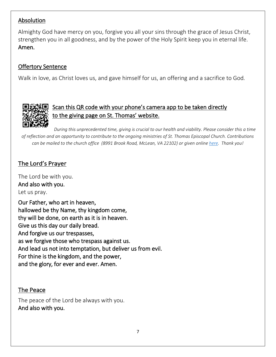### Absolution

Almighty God have mercy on you, forgive you all your sins through the grace of Jesus Christ, strengthen you in all goodness, and by the power of the Holy Spirit keep you in eternal life. Amen.

# Offertory Sentence

Walk in love, as Christ loves us, and gave himself for us, an offering and a sacrifice to God*.*



# Scan this QR code with your phone's camera app to be taken directly to the giving page on St. Thomas' website.

*During this unprecedented time, giving is crucial to our health and viability. Please consider this a time of reflection and an opportunity to contribute to the ongoing ministries of St. Thomas Episcopal Church. Contributions can be mailed to the church office (8991 Brook Road, McLean, VA 22102) or given online [here.](https://stthomasmcleanva.org/giving/donate) Thank you!*

# The Lord's Prayer

The Lord be with you. And also with you. Let us pray.

Our Father, who art in heaven, hallowed be thy Name, thy kingdom come, thy will be done, on earth as it is in heaven. Give us this day our daily bread. And forgive us our trespasses, as we forgive those who trespass against us. And lead us not into temptation, but deliver us from evil. For thine is the kingdom, and the power, and the glory, for ever and ever. Amen.

#### The Peace

The peace of the Lord be always with you. And also with you.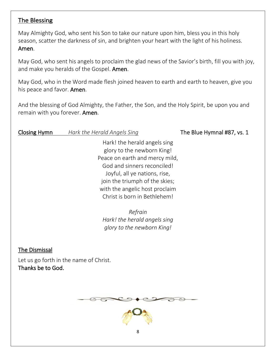### The Blessing

May Almighty God, who sent his Son to take our nature upon him, bless you in this holy season, scatter the darkness of sin, and brighten your heart with the light of his holiness. Amen.

May God, who sent his angels to proclaim the glad news of the Savior's birth, fill you with joy, and make you heralds of the Gospel. Amen.

May God, who in the Word made flesh joined heaven to earth and earth to heaven, give you his peace and favor. Amen.

And the blessing of God Almighty, the Father, the Son, and the Holy Spirit, be upon you and remain with you forever. **Amen**.

Closing Hymn *Hark the Herald Angels Sing* The Blue Hymnal #87, vs. 1

Hark! the herald angels sing glory to the newborn King! Peace on earth and mercy mild, God and sinners reconciled! Joyful, all ye nations, rise, join the triumph of the skies; with the angelic host proclaim Christ is born in Bethlehem!

*Refrain Hark! the herald angels sing glory to the newborn King!*

The Dismissal

Let us go forth in the name of Christ. Thanks be to God.



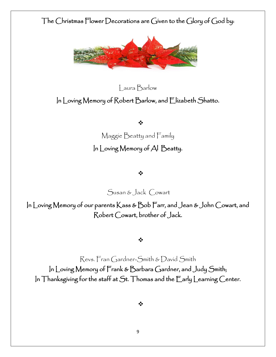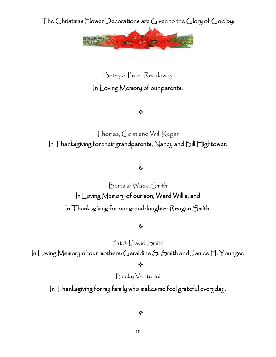The Christmas Flower Decorations are Given to the Glory of God by:



Betsy & Peter Reddaway

# In Loving Memory of our parents.

❖

Thomas, Colin and Will Regan In Thanksgiving for their grandparents, Nancy and Bill Hightower.

❖

Berta & Wade Smith In Loving Memory of our son, Ward Willis; and In Thanksgiving for our granddaughter Reagan Smith.

❖

Pat & David Smith

In Loving Memory of our mothers: Geraldine S. Smith and Janice H. Younger.

 $\frac{1}{2}$ 

Becky Ventorini

In Thanksgiving for my family who makes me feel grateful everyday.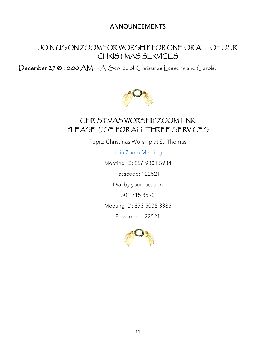# **ANNOUNCEMENTS**

# JOIN US ON ZOOM FOR WORSHIP FOR ONE OR ALL OF OUR CHRISTMAS SERVICES

December 27 @ 10:00 AM - A Service of Christmas Lessons and Carols.



# CHRISTMAS WORSHIP ZOOM LINK PLEASE USE FOR ALL THREE SERVICES

Topic: Christmas Worship at St. Thomas

[Join Zoom Meeting](https://us02web.zoom.us/s/85698015934?pwd=d2pzS0Y5UkM1NDRjUndsOGtheWszdz09#success)

Meeting ID: 856 9801 5934

Passcode: 122521

Dial by your location

301 715 8592

Meeting ID: 873 5035 3385

Passcode: 122521

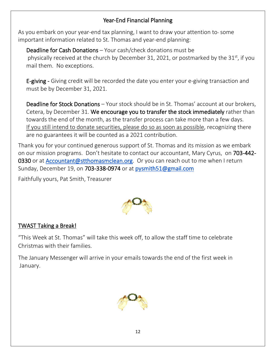# Year-End Financial Planning

As you embark on your year-end tax planning, I want to draw your attention to-some important information related to St. Thomas and year-end planning:

Deadline for Cash Donations – Your cash/check donations must be physically received at the church by December 31, 2021, or postmarked by the  $31<sup>st</sup>$ , if you mail them. No exceptions.

**E-giving -** Giving credit will be recorded the date you enter your e-giving transaction and must be by December 31, 2021.

Deadline for Stock Donations - Your stock should be in St. Thomas' account at our brokers, Cetera, by December 31. We encourage you to transfer the stock immediately rather than towards the end of the month, as the transfer process can take more than a few days. If you still intend to donate securities, please do so as soon as possible, recognizing there are no guarantees it will be counted as a 2021 contribution.

Thank you for your continued generous support of St. Thomas and its mission as we embark on our mission programs. Don't hesitate to contact our accountant, Mary Cyrus, on 703-442- 0330 or at [Accountant@stthomasmclean.org.](mailto:Accountant@stthomasmclean.org) Or you can reach out to me when I return Sunday, December 19, on 703-338-0974 or at [pysmith51@gmail.com](mailto:pysmith51@gmail.com)

Faithfully yours, Pat Smith, Treasurer



# TWAST Taking a Break!

"This Week at St. Thomas" will take this week off, to allow the staff time to celebrate Christmas with their families.

The January Messenger will arrive in your emails towards the end of the first week in January.

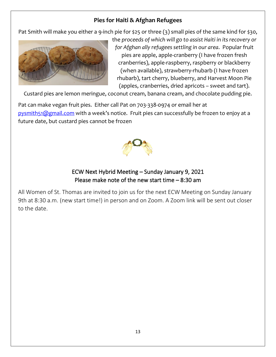# **Pies for Haiti & Afghan Refugees**

Pat Smith will make you either a 9-inch pie for \$25 or three (3) small pies of the same kind for \$30,



the *proceeds of which will go to assist Haiti in its recovery or for Afghan ally refugees settling in our area*. Popular fruit pies are apple, apple-cranberry (I have frozen fresh cranberries), apple-raspberry, raspberry or blackberry (when available), strawberry-rhubarb (I have frozen rhubarb), tart cherry, blueberry, and Harvest Moon Pie (apples, cranberries, dried apricots – sweet and tart).

Custard pies are lemon meringue, coconut cream, banana cream, and chocolate pudding pie.

Pat can make vegan fruit pies. Either call Pat on 703-338-0974 or email her at [pysmith51@gmail.com](mailto:pysmith51@gmail.com) with a week's notice. Fruit pies can successfully be frozen to enjoy at a future date, but custard pies cannot be frozen



# ECW Next Hybrid Meeting – Sunday January 9, 2021 Please make note of the new start time – 8:30 am

All Women of St. Thomas are invited to join us for the next ECW Meeting on Sunday January 9th at 8:30 a.m. (new start time!) in person and on Zoom. A Zoom link will be sent out closer to the date.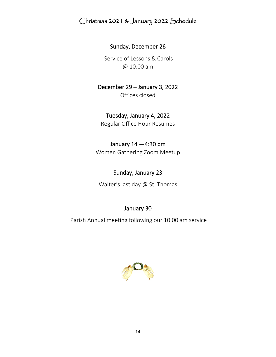# Christmas 2021 & January 2022 Schedule

#### Sunday, December 26

Service of Lessons & Carols @ 10:00 am

# December 29 – January 3, 2022

Offices closed

#### Tuesday, January 4, 2022

Regular Office Hour Resumes

#### January 14 —4:30 pm

Women Gathering Zoom Meetup

#### Sunday, January 23

Walter's last day @ St. Thomas

#### January 30

Parish Annual meeting following our 10:00 am service